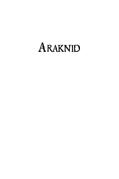# Araknid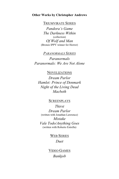### **Other Works by Christopher Andrews**

TRIUMVIRATE SERIES

*Pandora's Game The Darkness Within* (collection) *Of Wolf and Man* (Bronze IPPY winner for Horror)

# *PARANORMALS SERIES*

*Paranormals Paranormals: We Are Not Alone*

## NOVELIZATIONS

*Dream Parlor Hamlet: Prince of Denmark Night of the Living Dead Macbeth*

### **SCREENPLAYS**

*Thirst Dream Parlor* (written with Jonathan Lawrence) *Mistake Vale Todo/Anything Goes* (written with Roberto Estrella)

> WEB SERIES *Duet*

VIDEO GAMES *Bankjob*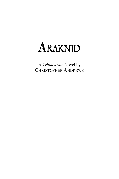# Araknid

A *Triumvirate* Novel by CHRISTOPHER ANDREWS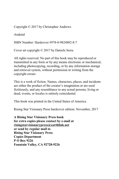Copyright © 2017 by Christopher Andrews

Araknid

ISBN Number: Hardcover #978-0-9824882-8-7

Cover art copyright © 2017 by Daniele Serra

All rights reserved. No part of this book may be reproduced or transmitted in any form or by any means electronic or mechanical, including photocopying, recording, or by any information storage and retrieval system, without permission in writing from the copyright owner.

This is a work of fiction. Names, characters, places, and incidents are either the product of the creator's imagination or are used fictitiously, and any resemblance to any actual persons, living or dead, events, or locales is entirely coincidental.

This book was printed in the United States of America.

Rising Star Visionary Press hardcover edition: November, 2017

**A Rising Star Visionary Press book for extra copies please contact by e-mail at risingstarvisionarypress@earthlink.net or send by regular mail to Rising Star Visionary Press Copies Department P O Box 9226 Fountain Valley, CA 92728-9226**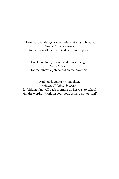# Thank you, as always, to my wife, editor, and Imzadi, *Yvonne Isaak-Andrews*, for her boundless love, feedback, and support.

Thank you to my friend, and now colleague, *Daniele Serra*, for the fantastic job he did on the cover art.

And thank you to my daughter, *Arianna Kristina Andrews*, for bidding farewell each morning on her way to school with the words, "Work on your book as hard as you can!"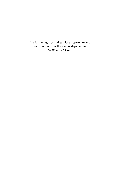The following story takes place approximately four months after the events depicted in *Of Wolf and Man*.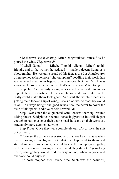*She'll never see it coming,* Mitch congratulated himself as he poured the wine. *They never do.*

Mitchell Gamall — "Mitchell" to his clients; "Mitch" to his friends, and to the women he seduced — made a decent living as a photographer. He was quite proud of this fact, as the Los Angeles area often seemed to have more "photographers" peddling their work than wannabe actresses who begged their services. Not that Mitch was above such proclivities, of course; that's why he was Mitch tonight.

Step One: Get the tasty young ladies into his pad, cater to and/or exploit their insecurities, take a few photos to demonstrate that he really could make them look good. And start the whole process by getting them to take a sip of wine, just a sip or two, so that they would relax. He always bought the good wines, too; the better to cover the taste of his special additive of self-brewed GHB.

Step Two: Once the augmented wine loosens them up, resume taking photos. Said photos become increasingly erotic, but still elegant enough to pass muster as their acting headshots and on their websites. And apply more augmented wine.

Step Three: Once they were completely out of it ... fuck the shit out of them.

Of course, the camera never stopped; that was key. Because when the surprisingly few figured out what had happened to them and started making noise about it, he would reveal the unexpurgated galley of their session — making it clear that if they didn't *stop* making noise, said gallery would find its way online, where anyone and everyone could enjoy it.

The noise stopped then, every time. Such was the beautiful,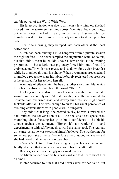terrible power of the World Wide Web.

His latest acquisition was due to arrive in a few minutes. She had moved into the apartment building across from his a few months ago, but to be honest, he hadn't really noticed her at first — a bit too homely, too short, too frumpy ... scarcely enough to show up on his radar.

Then, one morning, they bumped into each other at the local coffee shop.

Mitch had been nursing a mild hangover from a private session the night before — he never sampled the augmented wine, of course, but that didn't mean he couldn't have a few drinks as the evening progressed — but a legitimate gig today forced him out of bed. He grabbed a muffin with his espresso and sat down for a quick breakfast while he thumbed through his phone. When a woman approached and mumbled a request to share his table, he barely registered her presence as he gestured for her to help herself.

A minute of silence later, he heard another short mumble, which he belatedly absorbed had been the word, "Hello."

Looking up, he realized it was his new neighbor, and that she wasn't quite as homely as he'd first thought; beneath that long, drabbrunette hair, oversized nose, and dowdy sundress, she might prove fuckable after all. This was enough to curtail his usual perchance of avoiding conversations with people while hungover.

They didn't chat long. She proved so shy, he was surprised she had initiated the conversation at all. And she was a real space case, mumbling about focusing her qi to build confidence — he bit his tongue against the comment, "Honey, it's not working" — and experimenting with self-hypnosis toward the same goal. The real pay dirt came just as he was excusing himself to leave: She was hoping for some new portraits of herself — to focus her qi upon, you see — and she had heard that he was a photographer ...

*There it is.* He turned his discerning eye upon her once more and, finally, decided that maybe she was worth his time after all.

Besides, sometimes the ugly ones work harder.

So Mitch handed over his business card and told her to shoot him an email.

It later occurred to him that he'd never asked for her name, but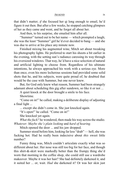#### ARAKNID ix

that didn't matter; *if* she focused her qi long enough to email, he'd figure it out then. But after a few weeks, he stopped catching glimpses of her as they came and went, and he forgot all about her.

And then, to his surprise, she emailed him after all.

"Summer" turned out to be her name — which prompted a laugh; she was the least "Summer" girl he'd ever decided to bang — and she was due to arrive at his place any minute now.

Finished mixing his augmented wine, Mitch set about tweaking his photography lights. He preferred to start his shoots a bit earlier in the evening, with the setting sun's radiance caressing its way through his oversized windows. That way, he'd have a nice selection of natural and artificial lighting to choose from. Regardless of his ultimate intentions, he always approached his work with a serious eye. More than once, even his more lecherous sessions had provided some solid shots that he, and his subjects, were quite proud of; he doubted that would be the case with Summer, but one never knew.

But, for God only knew what reason, Summer had been strangely adamant about scheduling this gig after sundown, so like it or not ...

A quiet knock at the door brought a smile to his face.

Showtime.

"Come on in!" he called, making a deliberate display of adjusting a final light ...

... except she didn't come in. She just knocked again.

"It's open!" he called. "Come on in!"

She knocked yet again.

*What the fuck?* he wondered, then made his way across the studio. *Whatever. Maybe she's plain looking* and *hard of hearing.*

Mitch opened the door ... and his jaw dropped.

Summer stood before him, looking far less "drab" — hell, she was fucking hot*.* Had he really been indecisive about *this* sweet little number?

Funny thing was, Mitch couldn't articulate exactly what was so different about her. Her nose was still too big for her face, and though this shirt-&-skirt were markedly better than the frumpy thing she'd worn that morning in the coffee shop, she could still use a wardrobe makeover. Maybe it was her hair? She had definitely darkened it, and it suited her ... or, wait. *Had* she darkened it? Or was her skin just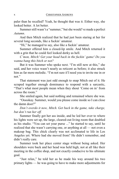paler than he recalled? Yeah, he thought that was it. Either way, she looked better. A lot better.

Summer still wasn't a "summer," but she would've made a perfect *Autumn*.

And then Mitch realized that he had just been staring at her for several long seconds, like a fuckin' amateur.

"Hi," he managed to say, also like a fuckin' amateur.

Summer offered him a closed-lip smile. And Mitch returned it with a grin that he could feel looked dorky as hell.

*C'mon, Mitch! Get your head back in the fuckin' game! Do you wanna bang this bitch or not?*

But it was Summer who spoke next. "I'm still new at this," she said, and her voice wasn't nearly as reticent as before; it also struck him as far more melodic. "I'm not sure if I need you to invite me in or not."

That statement was just odd enough to snap Mitch out of it. He scraped together enough dominance to respond with a sarcastic, "That's what most people mean when they shout 'Come on in' from across the room."

She smiled again, but said nothing and remained where she was.

"Ooookay. Summer, would you please come inside so I can close the damn door?"

*Don't overdo it now, Mitch. Get back in the game, take charge, but don't run her off.*

Summer finally got her ass inside, and he led her over to where his lights were set up, the large, cleared-out living room that doubled as his studio. "You can set your purse ..." he started to say, until he realized that she wasn't carrying one, or anything at all — not even a makeup bag. This chick clearly was not acclimated to life in Los Angeles yet. Where had she moved from? He didn't remember, and didn't really care.

Summer took her place center stage without being asked. Her shoulders were back and her head was held high; not at all like their meeting in the coffee shop, and not exactly conducive to his ultimate goal.

"Just relax," he told her as he made his way around his two primary lights — he was going to have to make more adjustments for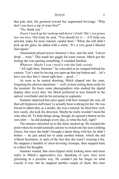#### ARAKNID xi

that pale skin. He gestured toward her augmented beverage. "Why don't you have a sip of wine first?"

"No, thank you."

*Doesn't touch up her makeup* and *doesn't drink? She's not gonna last out here*. Out loud, he said, "You should try it — it'll help you unwind, make for more natural, candid shots." When she still didn't pick up the glass, he added with a smile, "It's a very good Cabernet Sauvignon."

Amusement played across Summer's face, and she said, "I never drink ... wine." This made her giggle for some reason. Mitch got the feeling she was quoting something; it sounded familiar.

*Whatever. Maybe I won't need it with this little weirdo.*

"All right then, Summer," he conceded as he stepped behind his camera. "Let's start by having you open up that top button and ... let's have you face this C-stand right here ... good ..."

As soon as he started shooting, Mitch slipped into the zone, forgetting his ulterior intentions — well, at least setting them aside for the moment. He knew some photographers who studied the digital display after every shot, but Mitch preferred to lose himself in the optical viewfinder and do his perusing in segments.

Summer surprised him once again with how tranquil she was; all that self-hypnosis stuff must've actually been working for her. He was forced to admit that, as a model, she was a natural; he liked how well, how easily, she took his direction. Maybe he really wouldn't need the wine after all. To help things along, though, he opened a button on his own shirt — he did pushups every day, so what the hell, right?

The minutes stretched on as the shots stacked up. He reached the point where he would normally ask her to switch into her next clothing choice, but since she hadn't brought a damn thing with her, he didn't bother — he just asked her to undo another button, which she did without hesitation, in spite of the fact that she wasn't wearing a bra. He snapped a handful of chest-favoring closeups, then stepped back to collect his thoughts.

Summer waited, that close-lipped smile looking more and more sultry to Mitch's appreciative eye. Speaking of eyes, hers were glistening in a peculiar way. He couldn't put his finger on what exactly it was, but he snapped another couple of shots, this time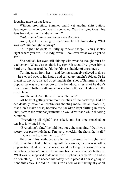focusing more on her face ...

Without prompting, Summer undid yet another shirt button, leaving only the bottom two still connected. Was she trying to pull his lens back down, or just draw him in?

*Yeah, I'm definitely not gonna need the wine.*

And yet, as he met her gaze once more, he felt almost dizzy. What was *with* him tonight, anyway?

"All right," he declared, rallying to take charge. "You just stay right where you are, little lady, while I look over what we've got so far."

She nodded, her eyes still shining with what he thought must be excitement. What else could it be, right? It should've given him a hard-on ... but instead, he felt the faintest shudder of uneasiness.

Turning away from her — and feeling strangely relieved to do so — he stepped over to his laptop and called up tonight's folder. Or he meant to, anyway; instead of getting his first shot of Summer, all that popped up was a blank photo of the backdrop, a test shot he didn't recall doing. Huffing with impatience at himself, he clicked over to the next photo ...

And the next. And the next. What the fuck?

All he kept getting were more empties of the backdrop. Did he accidentally leave it on continuous shooting mode like an idiot? No, that didn't make sense, because the backdrop kept shifting in every shot, as with the minor adjustments he would've made while shooting Summer.

"Everything all right?" she asked, and her tone smacked of teasing. It irritated him.

"Everything's fine," he told her, not quite snapping. "Don't you worry your pretty little head. I'm just ... checkin' the shots, that's all."

"Do we need to take them again?"

He ground his teeth, because he was guessing that maybe they did. Something had to be wrong with the camera; there was no other explanation. And he had been so fixated on tonight's post-curricular activities, he hadn't bothered charging his backup-camera's batteries. What was he supposed to do now, use his phone's camera? He had to do something — he needed his safety net in place if he was going to bone this chick. Or did he? She sure as hell wasn't acting shy at all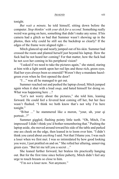#### ARAKNID xiii

tonight.

*But wait a minute,* he told himself, sitting down before the computer. *Stop thinkin' with your dick for a second.* Something really weird was going on here, something that didn't make any sense. If his camera had a glitch so bad that Summer wasn't showing up in the photos, then why could he still see the backdrop so clearly? If the edges of the frame were aligned right—

Mitch glanced up and nearly jumped out of his skin. Summer had crossed the room and planted herself just beyond his laptop. How the fuck had he not heard her coming? For that matter, how the fuck had he not *seen* her coming in his peripheral vision?

"I asked if we need to take the pictures again," she stated, staring at him with a light smirk upon her red lips and those rich, green eyes. Had her eyes always been so emerald? Weren't they a mundane hazelgreen even when he first opened the door?

"I ..." was all he managed to get out.

Summer reached out and pushed the laptop closed; Mitch jumped again when it shut with a loud *snap*, and hated himself for doing so. What was happening here ...?

"Let's not worry about the pictures," she told him, leaning forward. He could feel a fevered heat coming off her, but her face wasn't flushed. "I think we both know that's not why I'm here tonight."

"B-but ..." he stammered like a moron, "your, uh, your qi portrait...?"

Summer giggled, flashing pointy little teeth. "Oh, Mitch, I'm impressed! I didn't think you'd bother remembering that." Pushing the laptop aside, she moved around toward his side of the table and parked one ass cheek on the edge, then leaned in to loom over him. "I didn't think you cared about *anything* Isaid. Not that I blame you. I was such a loser when we first met. I was so intimidated by how good looking you were, I just prattled on and on." She rolled her alluring, unnerving green eyes. "But let me tell you a secret ..."

She leaned further forward, her braless tits practically hanging out. But for the first time since before puberty, Mitch didn't feel any urge to touch breasts so close to him.

"I'm *not* a loser now. Not anymore."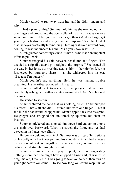Mitch yearned to run away from her, and he didn't understand why.

"I had a plan for this," Summer told him as she reached out with one finger and probed into the open collar of his shirt. "It was a whole seduction thing. I'd let you feel in charge, then *I'd* take charge, get you in your bedroom and give you a nice surprise." She chuckled at that, her eyes practically luminescing. Her finger stroked upward now, coming to rest underneath his chin. "But you know what ...?"

Mitch grunted something akin to "What?" as he made an impotent effort to pull back.

Summer snagged his chin between her thumb and finger. "I've decided to skip all that and go straight to the surprise." She leaned all the way in, her loose tits brushing against him — her nipples felt, not just erect, but strangely sharp — as she whispered into his ear, "Because I'm hungry."

Mitch couldn't say anything. Hell, he was having trouble breathing. His heartbeat pounded in his ears.

Summer pulled back to reveal glistening eyes that had gone completely solid green, with no white showing at all. And Mitch found his voice.

He started to scream.

Summer shifted the hand that was holding his chin and thumped his throat. That's all she did — thump him with one finger — but it felt like she had karate-chopped his Adam's apple back into his spine. He gagged and struggled for air, thrashing up from his chair on instinct.

Summer snickered and shoved him down hard enough to topple the chair over backward. When he struck the floor, any residual oxygen in his lungs took flight.

Before he could move an inch, Summer was on top of him, sitting on his belly with her knees pinning his shoulders. Mitch had a vague recollection of heat coming off her just seconds ago, but now her flesh radiated cold straight through his shirt.

Summer grumbled with a playful pout, her tone suggesting nothing more than she might have chipped a fingernail, "I wanted to drag this out, I really did. I was going to take you to bed, then turn on you right before you came — to see how long you could keep it up as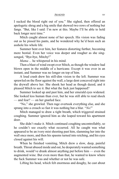#### ARAKNID xv

I sucked the blood right out of you." She sighed, then offered an apologetic shrug and a big smile that showed two rows of nothing but fangs. "But, like I said: I'm new at this. Maybe I'll be able to hold back longer next time."

Mitch caught almost none of her speech. His vision was fading out as he pissed his pants, and he wondered why he'd been such an asshole his whole life.

Summer bent over him, her features distorting further, becoming more bestial. Even her voice was deeper and rougher as she singsonged, "Bye-bye, Mitchy!"

*Mama ...* he whispered in his mind.

Then a blast of wind swept over Mitch, as though the window had blown open in the middle of a hurricane. Except it was over in an instant, and Summer was no longer on top of him.

A loud crash drew his still-dim vision to the left. Summer was sprawled on the floor against the wall, a large dent concaved right into the drywall above her. She shook her head as though dazed, and it pleased Mitch to see it. But what the fuck just happened?

Summer looked up and past him, and her emerald eyes widened. She looked less human than ever, but he was still able to read shock — and fear? — on her gnarled face.

"No," she growled. Then rage overtook everything else, and she sprang into a crouch so fast it was nothing but a blur. "*No!*"

Mitch managed to draw a tight breath, which triggered strained coughing. Summer ignored him as she leaped toward his apartment door.

She didn't make it. Mitch continued coughing uncontrollably, so he couldn't see exactly what occurred. All he caught was what appeared to be an ivory mist shooting past him, slamming her into the wall once more, and then his spasms turned into retching, and his eyes closed against his will.

When he finished vomiting, Mitch drew a slow, deep, painful breath. Throat abused inside and out, he desperatelywanted something to drink, would've drunk almost anything put before him — even the augmented wine. But even more than that, he wanted to know where the fuck Summer was and whether or not he was safe.

Lifting his head, which felt enormous and doughy, he cast about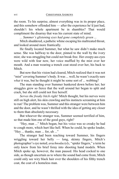the room. To his surprise, almost everything was in its proper place, and this somehow offended him — after the experience he'd just had, shouldn't his whole apartment be in shambles? That would compliment the disarray that was his current state of mind.

*... Summer's glistening eyes had gone completely green* ...

Mitch shuddered, a pathetic whine escaping his maltreated throat, and looked around more frantically.

He finally located Summer, but what he saw didn't make much sense. She was halfway to the door, pinned to the wall by the ivory mist; she was struggling but could not break free. Her creepy-ass eyes were wild with fear now, her voice muffled by the mist over her mouth. And a man wearing a trench coat stood over her, his back to Mitch.

But now that his vision had cleared, Mitch realized that it was not "mist" covering Summer's body. It was ... well, he wasn't exactly sure what it was, but he thought it might be some sort of ... webbing?

The man standing over Summer hunkered down before her; her struggles grew so fierce that the wall around her began to split and crack, but she still could not free herself.

*Serves the freaky bitch right!* Mitch thought, but his nerves were still on high alert, his skin crawling and his instincts screaming at him to run! The problem was, Summer and this stranger were between him and the door, and he wasn't thrilled with the idea of getting any closer to them than absolutely necessary.

But whoever the stranger was, Summer seemed terrified of him, so that made him one of the good guys, right?

"Hey, man ..." Mitch began, but his voice was so croaky he had to cough more, which hurt like hell. When he could, he spoke louder, "Hey ... thanks, man ... for, uh ..."

The stranger had been reaching toward Summer, his fingers wriggling toward her belly — long, skinny fingers, Mitch's photographer's eye noted; *arachnodactyly*, "spider fingers," a term he only knew from his brief foray into shooting hand models. When Mitch spoke up, however, the man paused. His head cocked to one side, as though uncertain as to where the sound had come from; Mitch could only see wiry black hair over the shoulders of his filthy trench coat, the coat of a homeless man.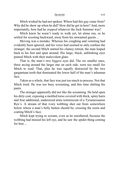ARAKNID xvii

Mitch wished he had not spoken. Where had this guy come from? Why did he show up when he did? How did he get in here? And, more importantly, how had he *stopped* whatever the fuck Summer was?

Mitch knew he wasn't ready to walk yet, let alone run, so he settled for scooting backward, away from his unwanted guests ...

Moving was a mistake. Whereas his coughing and vomiting had evidently been ignored, and his voice had seemed to only confuse the stranger, the second Mitch started his clumsy retreat, the man leaped back to his feet and spun around. His large, black, unblinking eyes pinned Mitch with their malevolent glare.

That is, the man's two *biggest* eyes did. The six smaller ones, three arcing around the larger one on each side, were too small for Mitch to read. That, plus he was equally distracted by the two gargantuan teeth that dominated the lower half of the man's inhuman face.

Taken as a whole, that face was just too much to process. Not that Mitch tried. He was too busy screaming, and this time shitting his pants.

The stranger apparently did not like the screaming. He held open his dirty coat, exposing a mottled torso covered with thick, spiny hairs and four additional, undersized arms reminiscent of a Tyrannosaurus Rex's. A stream of that ivory webbing shot out from somewhere below where a man's belly button should be, crossing the room and coating Mitch's face.

Mitch kept trying to scream, even as he smothered, because the webbing had missed his left eye, and he saw the spider-thing coming for him ...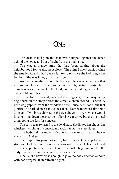# **ONE**

The dead man lay in the shadows, slumped against the fence behind the hedge and out of sight from the main street.

The cat, a mangy stray that had been lurking about the neighborhood for weeks, crept closer. The animal knew carrion when she smelled it, and it had been a full two days since she had caught her last bird. She was hungry. This was food.

And yet, something about the body set the cat on edge. Not that it took much; cats tended to be skittish by nature, particularly homeless ones. She wanted the food, but the hair along her back rose and would not relax.

The cat looked around, her ears twitching every which way. A big dog dozed on the stoop across the street, a chain around his neck. A little dog yapped from the window of the house next door, but that glorified rat barked incessantly; the cat had learned to ignore him some time ago. Two birds chirped in the tree above — oh, how she would love to bring down those strident fliers! A car drove by, the big metal thing going too fast for concern.

The cat's gaze returned to the dead man. She licked her chops, her whiskers twitching in concert, and took a tentative step closer.

The body did not move, of course. The man was dead. The cat knew this. And yet ...

She played this game for nearly half an hour. One step forward, stop and look around, two steps forward, then arch her back and retreat a step. Over and over. There was a duffel bag lying next to the body; she paused to investigate this for a while.

Finally, she drew close enough to give the body a tentative poke with her forepaw, then retreated again.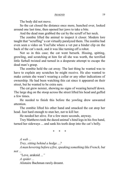The body did not move.

So the cat closed the distance once more, hunched over, looked around one last time, then opened her jaws to take a bite.

And the dead man grabbed the cat by the scruff of her neck.

The zombie lifted the animal to inspect it closer. Modern lore taught that "scruffing" a cat virtually paralyzed them. The zombie had even seen a video on YouTube where a vet put a binder clip on the back of the cat's neck, and it was like turning off a robot.

Not so in this case; the cat went berserk. Hissing, spitting, growling, and scratching at him for all she was worth, the terrified little furball twisted and turned in a desperate attempt to escape the dead man's grasp.

The zombie held the cat away. The last thing he wanted was to have to explain any scratches he might receive. He also wanted to make certain she wasn't wearing a collar or any other indications of ownership. He had been watching this cat since it appeared on their street, but he wanted to be extra sure.

The cat grew noisier, showing no signs of wearing herself down. The large dog on the stoop across the street lifted his head and guffed a few times.

He needed to finish this before the yowling drew unwanted attention.

The zombie lifted his other hand and smacked the cat atop her head. Just hard enough to stun her, not to kill her.

He needed her alive. For a few more seconds, anyway.

Trey Matthews took the dazed animal's hind legs in his free hand, turned her sideways ... and sank his teeth deep into the cat's belly.

\* \* \*

*A web ...*

*Trey, sitting behind a hedge ...?*

*A man hovering before a fire, speaking something like French, but not ...*

*"*Leve, araknid ...*"*

*A spider ...*

Alistaire Bachman rarely dreamt.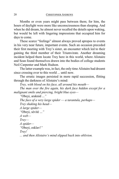Months or even years might pass between them; for him, the hours of daylight were more like unconsciousness than sleeping. And when he did dream, he almost never recalled the details upon waking, but would be left with lingering impressions that occupied him for days to come.

These scarce "feelings" almost always proved apropos to events in his very near future, important events. Such an occasion preceded their first meeting with Trey's sister, an encounter which led to their gaining the third member of their Triumvirate. Another dreaming incident helped them locate Trey here in this world, where Alistaire and Sean found themselves drawn into the bodies of college students Neil Carpenter and Mark Hudson.

The latter example was, in fact, the only time Alistaire had dreamt since crossing over to this world ... until now.

The erratic images persisted in more rapid succession, flitting through the darkness of Alistaire's mind:

*Trey, with blood on his face, all around his mouth—*

*The man over the fire again, his dark face hidden except for a malignant smile and piercing, bright blue eyes—*

*"*Obeyi, araknid ...*"*

*The face of a very large spider — a tarantula, perhaps— Trey shaking his head— A large spider— "*Obeyi, sèvitè ...*" A web— Trey— A spider— "*Obeyi, esklav!*" Trey! ... and then Alistaire's mind slipped back into oblivion.*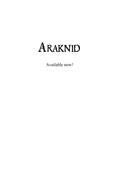# Araknid

Available now!